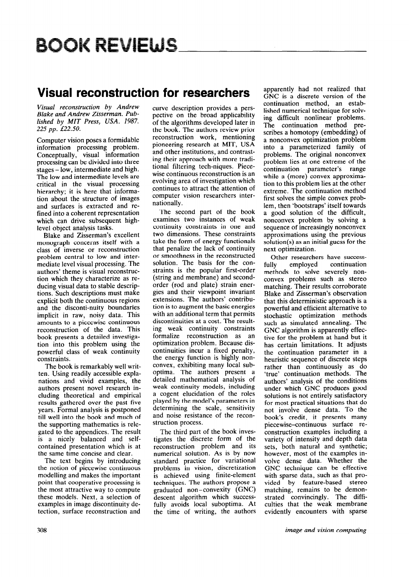# **BOOK REVIEWS**

### **Visual reconstruction for researchers**

*Visual reconstruction by Andrew Blake and Andrew Zisserman. Published by MIT Press, USA. 1987. 225 pp. L22.50.* 

Computer vision poses a formidable information processing problem. Conceptually, visual information processing can be divided into three stages - low, intermediate and high. The low and intermediate levels are critical in the visual processing hierarchy; it is here that information about the structure of images and surfaces is extracted and refined into a coherent representation which can drive subsequent highlevel object analysis tasks.

Blake and Zisserman's excellent monograph concerns itself with a class of inverse or reconstruction problem central to low and intermediate level visual processing. The authors' theme is visual reconstruction which they characterize as reducing visual data to stable descriptions. Such descriptions must make explicit both the continuous regions and the disconti-nuity boundaries implicit in raw, noisy data. This amounts to a piecewise continuous reconstruction of the data. This book presents a detailed investigation into this problem using the powerful class of weak continuity constraints.

The book is remarkably well written. Using readily accessible explanations and vivid examples, the authors present novel research including theoretical and empirical results gathered over the past five years. Formal analysis is postponed till well into the book and much of the supporting mathematics is relegated to the appendices. The result is a nicely balanced and selfcontained presentation which is at the same time concise and clear.

The text begins by introducing the notion of piecewise continuous modelling and makes the important point that cooperative processing is the most attractive way to compute these models. Next, a selection of examples in image discontinuity detection, surface reconstruction and

curve description provides a perspective on the broad applicability of the algorithms developed later in the book. The authors review prior reconstruction work, mentioning pioneering research at MIT, USA and other institutions, and contrasting their approach with more traditional filtering tech-niques. Piecewise continuous reconstruction is an evolving area of investigation which continues to attract the attention of computer vision researchers internationally.

The second part of the book examines two instances of weak continuity constraints in one and two dimensions. These constraints take the form of energy functionals that penalize the lack of continuity or smoothness in the reconstructed solution. The basis for the constraints is the popular first-order (string and membrane) and secondorder (rod and plate) strain energies and their viewpoint invariant extensions. The authors' contribution is to augment the basic energies with an additional term that permits discontinuities at a cost. The resulting weak continuity constraints formalize reconstruction as an optimization problem. Because discontinuities incur a fixed penalty, the energy function is highly nonconvex, exhibiting many local suboptima. The authors present a detailed mathematical analysis of weak continuity models, including a cogent elucidation of the roles played by the model's parameters in determining the scale, sensitivity and noise resistance of the reconstruction process.

The third part of the book investigates the discrete form of the reconstruction problem and its numerical solution. As is by now standard practice for variational problems in vision, discretization is achieved using finite-element techniques. The authors propose a graduated non-convexity (GNC) descent algorithm which successfully avoids local suboptima. At the time of writing, the authors apparently had not realized that GNC is a discrete version of the continuation method, an established numerical technique for solving difficult nonlinear problems. The continuation method prescribes a homotopy (embedding) of a nonconvex optimization problem into a parameterized family of problems. The original nonconvex problem lies at one extreme of the continuation parameter's range while a (more) convex approximation to this problem lies at the other extreme. The continuation method first solves the simple convex problem, then 'bootstraps' itself towards a good solution of the difficult, nonconvex problem by solving a sequence of increasingly nonconvex approximations using the previous solution(s) as an initial guess for the next optimization.

Other researchers have success-<br>Ily employed continuation fully employed methods to solve severely nonconvex problems such as stereo matching. Their results corroborate Blake and Zisserman's observation that this deterministic approach is a powerful and efficient alternative to stochastic optimization methods such as simulated annealing. The GNC algorithm is apparently effective for the problem at hand but it has certain limitations. It adjusts the continuation parameter in a heuristic sequence of discrete steps rather than continuously as do 'true' continuation methods. The authors' analysis of the conditions under which GNC produces good solutions is not entirely satisfactory for most practical situations that do not involve dense data. To the book's credit, it presents many piecewise-continuous surface reconstruction examples including a variety of intensity and depth data sets, both natural and synthetic; however, most of the examples involve dense data. Whether the GNC technique can be effective with sparse data, such as that provided by feature-based stereo matching, remains to be demonstrated convincingly. The difficulties that the weak membrane evidently encounters with sparse